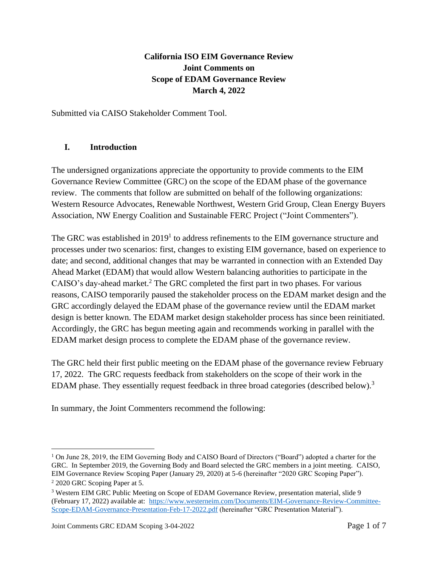## **California ISO EIM Governance Review Joint Comments on Scope of EDAM Governance Review March 4, 2022**

Submitted via CAISO Stakeholder Comment Tool.

#### **I. Introduction**

The undersigned organizations appreciate the opportunity to provide comments to the EIM Governance Review Committee (GRC) on the scope of the EDAM phase of the governance review. The comments that follow are submitted on behalf of the following organizations: Western Resource Advocates, Renewable Northwest, Western Grid Group, Clean Energy Buyers Association, NW Energy Coalition and Sustainable FERC Project ("Joint Commenters").

The GRC was established in  $2019<sup>1</sup>$  to address refinements to the EIM governance structure and processes under two scenarios: first, changes to existing EIM governance, based on experience to date; and second, additional changes that may be warranted in connection with an Extended Day Ahead Market (EDAM) that would allow Western balancing authorities to participate in the CAISO's day-ahead market.<sup>2</sup> The GRC completed the first part in two phases. For various reasons, CAISO temporarily paused the stakeholder process on the EDAM market design and the GRC accordingly delayed the EDAM phase of the governance review until the EDAM market design is better known. The EDAM market design stakeholder process has since been reinitiated. Accordingly, the GRC has begun meeting again and recommends working in parallel with the EDAM market design process to complete the EDAM phase of the governance review.

The GRC held their first public meeting on the EDAM phase of the governance review February 17, 2022. The GRC requests feedback from stakeholders on the scope of their work in the EDAM phase. They essentially request feedback in three broad categories (described below).<sup>3</sup>

In summary, the Joint Commenters recommend the following:

 $1$  On June 28, 2019, the EIM Governing Body and CAISO Board of Directors ("Board") adopted a charter for the GRC. In September 2019, the Governing Body and Board selected the GRC members in a joint meeting. CAISO, EIM Governance Review Scoping Paper (January 29, 2020) at 5-6 (hereinafter "2020 GRC Scoping Paper").

<sup>2</sup> 2020 GRC Scoping Paper at 5.

<sup>&</sup>lt;sup>3</sup> Western EIM GRC Public Meeting on Scope of EDAM Governance Review, presentation material, slide 9 (February 17, 2022) available at: [https://www.westerneim.com/Documents/EIM-Governance-Review-Committee-](https://www.westerneim.com/Documents/EIM-Governance-Review-Committee-Scope-EDAM-Governance-Presentation-Feb-17-2022.pdf)[Scope-EDAM-Governance-Presentation-Feb-17-2022.pdf](https://www.westerneim.com/Documents/EIM-Governance-Review-Committee-Scope-EDAM-Governance-Presentation-Feb-17-2022.pdf) (hereinafter "GRC Presentation Material").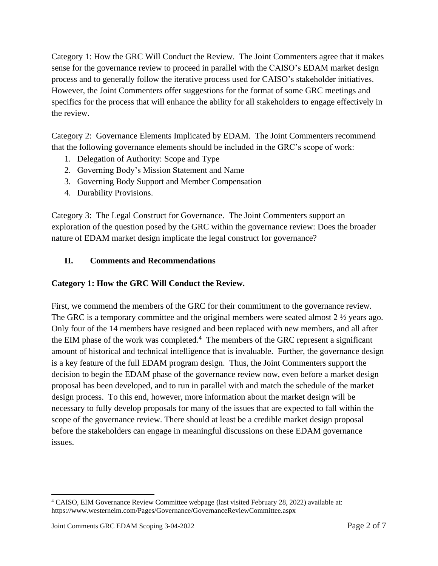Category 1: How the GRC Will Conduct the Review. The Joint Commenters agree that it makes sense for the governance review to proceed in parallel with the CAISO's EDAM market design process and to generally follow the iterative process used for CAISO's stakeholder initiatives. However, the Joint Commenters offer suggestions for the format of some GRC meetings and specifics for the process that will enhance the ability for all stakeholders to engage effectively in the review.

Category 2: Governance Elements Implicated by EDAM. The Joint Commenters recommend that the following governance elements should be included in the GRC's scope of work:

- 1. Delegation of Authority: Scope and Type
- 2. Governing Body's Mission Statement and Name
- 3. Governing Body Support and Member Compensation
- 4. Durability Provisions.

Category 3: The Legal Construct for Governance. The Joint Commenters support an exploration of the question posed by the GRC within the governance review: Does the broader nature of EDAM market design implicate the legal construct for governance?

#### **II. Comments and Recommendations**

#### **Category 1: How the GRC Will Conduct the Review.**

First, we commend the members of the GRC for their commitment to the governance review. The GRC is a temporary committee and the original members were seated almost 2  $\frac{1}{2}$  years ago. Only four of the 14 members have resigned and been replaced with new members, and all after the EIM phase of the work was completed.<sup>4</sup> The members of the GRC represent a significant amount of historical and technical intelligence that is invaluable. Further, the governance design is a key feature of the full EDAM program design. Thus, the Joint Commenters support the decision to begin the EDAM phase of the governance review now, even before a market design proposal has been developed, and to run in parallel with and match the schedule of the market design process. To this end, however, more information about the market design will be necessary to fully develop proposals for many of the issues that are expected to fall within the scope of the governance review. There should at least be a credible market design proposal before the stakeholders can engage in meaningful discussions on these EDAM governance issues.

<sup>4</sup> CAISO, EIM Governance Review Committee webpage (last visited February 28, 2022) available at: https://www.westerneim.com/Pages/Governance/GovernanceReviewCommittee.aspx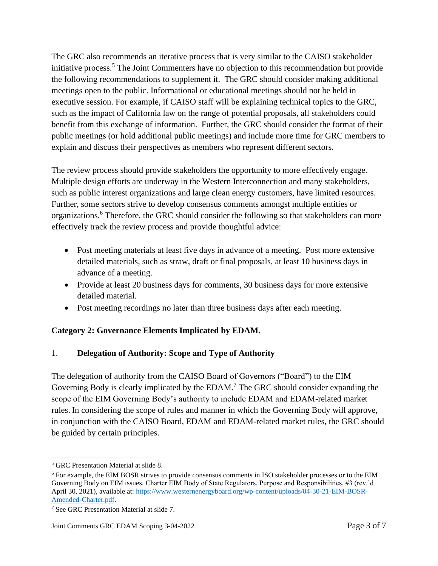The GRC also recommends an iterative process that is very similar to the CAISO stakeholder initiative process.<sup>5</sup> The Joint Commenters have no objection to this recommendation but provide the following recommendations to supplement it. The GRC should consider making additional meetings open to the public. Informational or educational meetings should not be held in executive session. For example, if CAISO staff will be explaining technical topics to the GRC, such as the impact of California law on the range of potential proposals, all stakeholders could benefit from this exchange of information. Further, the GRC should consider the format of their public meetings (or hold additional public meetings) and include more time for GRC members to explain and discuss their perspectives as members who represent different sectors.

The review process should provide stakeholders the opportunity to more effectively engage. Multiple design efforts are underway in the Western Interconnection and many stakeholders, such as public interest organizations and large clean energy customers, have limited resources. Further, some sectors strive to develop consensus comments amongst multiple entities or organizations.<sup>6</sup> Therefore, the GRC should consider the following so that stakeholders can more effectively track the review process and provide thoughtful advice:

- Post meeting materials at least five days in advance of a meeting. Post more extensive detailed materials, such as straw, draft or final proposals, at least 10 business days in advance of a meeting.
- Provide at least 20 business days for comments, 30 business days for more extensive detailed material.
- Post meeting recordings no later than three business days after each meeting.

### **Category 2: Governance Elements Implicated by EDAM.**

### 1. **Delegation of Authority: Scope and Type of Authority**

The delegation of authority from the CAISO Board of Governors ("Board") to the EIM Governing Body is clearly implicated by the EDAM.<sup>7</sup> The GRC should consider expanding the scope of the EIM Governing Body's authority to include EDAM and EDAM-related market rules. In considering the scope of rules and manner in which the Governing Body will approve, in conjunction with the CAISO Board, EDAM and EDAM-related market rules, the GRC should be guided by certain principles.

<sup>5</sup> GRC Presentation Material at slide 8.

<sup>6</sup> For example, the EIM BOSR strives to provide consensus comments in ISO stakeholder processes or to the EIM Governing Body on EIM issues. Charter EIM Body of State Regulators, Purpose and Responsibilities, #3 (rev.'d April 30, 2021), available at: [https://www.westernenergyboard.org/wp-content/uploads/04-30-21-EIM-BOSR-](https://www.westernenergyboard.org/wp-content/uploads/04-30-21-EIM-BOSR-Amended-Charter.pdf)[Amended-Charter.pdf.](https://www.westernenergyboard.org/wp-content/uploads/04-30-21-EIM-BOSR-Amended-Charter.pdf)

<sup>7</sup> See GRC Presentation Material at slide 7.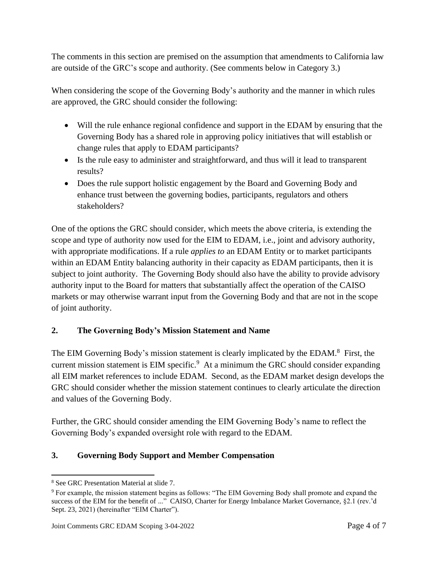The comments in this section are premised on the assumption that amendments to California law are outside of the GRC's scope and authority. (See comments below in Category 3.)

When considering the scope of the Governing Body's authority and the manner in which rules are approved, the GRC should consider the following:

- Will the rule enhance regional confidence and support in the EDAM by ensuring that the Governing Body has a shared role in approving policy initiatives that will establish or change rules that apply to EDAM participants?
- Is the rule easy to administer and straightforward, and thus will it lead to transparent results?
- Does the rule support holistic engagement by the Board and Governing Body and enhance trust between the governing bodies, participants, regulators and others stakeholders?

One of the options the GRC should consider, which meets the above criteria, is extending the scope and type of authority now used for the EIM to EDAM, i.e., joint and advisory authority, with appropriate modifications. If a rule *applies to* an EDAM Entity or to market participants within an EDAM Entity balancing authority in their capacity as EDAM participants, then it is subject to joint authority. The Governing Body should also have the ability to provide advisory authority input to the Board for matters that substantially affect the operation of the CAISO markets or may otherwise warrant input from the Governing Body and that are not in the scope of joint authority.

### **2. The Governing Body's Mission Statement and Name**

The EIM Governing Body's mission statement is clearly implicated by the EDAM.<sup>8</sup> First, the current mission statement is EIM specific.<sup>9</sup> At a minimum the GRC should consider expanding all EIM market references to include EDAM. Second, as the EDAM market design develops the GRC should consider whether the mission statement continues to clearly articulate the direction and values of the Governing Body.

Further, the GRC should consider amending the EIM Governing Body's name to reflect the Governing Body's expanded oversight role with regard to the EDAM.

# **3. Governing Body Support and Member Compensation**

<sup>8</sup> See GRC Presentation Material at slide 7.

<sup>9</sup> For example, the mission statement begins as follows: "The EIM Governing Body shall promote and expand the success of the EIM for the benefit of ..." CAISO, Charter for Energy Imbalance Market Governance, §2.1 (rev.'d Sept. 23, 2021) (hereinafter "EIM Charter").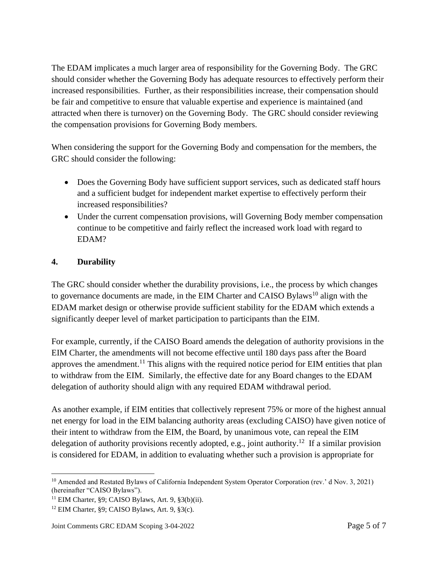The EDAM implicates a much larger area of responsibility for the Governing Body. The GRC should consider whether the Governing Body has adequate resources to effectively perform their increased responsibilities. Further, as their responsibilities increase, their compensation should be fair and competitive to ensure that valuable expertise and experience is maintained (and attracted when there is turnover) on the Governing Body. The GRC should consider reviewing the compensation provisions for Governing Body members.

When considering the support for the Governing Body and compensation for the members, the GRC should consider the following:

- Does the Governing Body have sufficient support services, such as dedicated staff hours and a sufficient budget for independent market expertise to effectively perform their increased responsibilities?
- Under the current compensation provisions, will Governing Body member compensation continue to be competitive and fairly reflect the increased work load with regard to EDAM?

#### **4. Durability**

The GRC should consider whether the durability provisions, i.e., the process by which changes to governance documents are made, in the EIM Charter and CAISO Bylaws<sup>10</sup> align with the EDAM market design or otherwise provide sufficient stability for the EDAM which extends a significantly deeper level of market participation to participants than the EIM.

For example, currently, if the CAISO Board amends the delegation of authority provisions in the EIM Charter, the amendments will not become effective until 180 days pass after the Board approves the amendment.<sup>11</sup> This aligns with the required notice period for EIM entities that plan to withdraw from the EIM. Similarly, the effective date for any Board changes to the EDAM delegation of authority should align with any required EDAM withdrawal period.

As another example, if EIM entities that collectively represent 75% or more of the highest annual net energy for load in the EIM balancing authority areas (excluding CAISO) have given notice of their intent to withdraw from the EIM, the Board, by unanimous vote, can repeal the EIM delegation of authority provisions recently adopted, e.g., joint authority.<sup>12</sup> If a similar provision is considered for EDAM, in addition to evaluating whether such a provision is appropriate for

<sup>&</sup>lt;sup>10</sup> Amended and Restated Bylaws of California Independent System Operator Corporation (rev.' d Nov. 3, 2021) (hereinafter "CAISO Bylaws").

 $11$  EIM Charter, §9; CAISO Bylaws, Art. 9, §3(b)(ii).

<sup>12</sup> EIM Charter, §9; CAISO Bylaws, Art. 9, §3(c).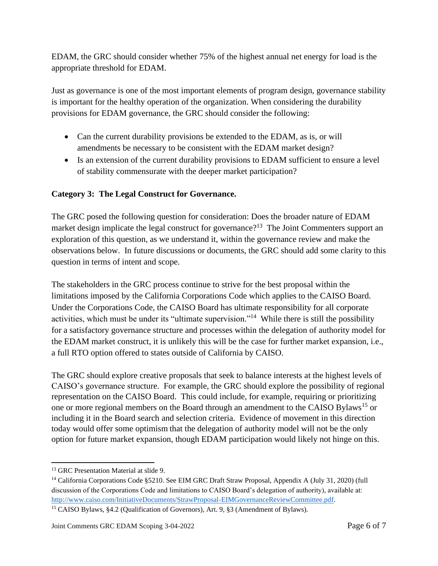EDAM, the GRC should consider whether 75% of the highest annual net energy for load is the appropriate threshold for EDAM.

Just as governance is one of the most important elements of program design, governance stability is important for the healthy operation of the organization. When considering the durability provisions for EDAM governance, the GRC should consider the following:

- Can the current durability provisions be extended to the EDAM, as is, or will amendments be necessary to be consistent with the EDAM market design?
- Is an extension of the current durability provisions to EDAM sufficient to ensure a level of stability commensurate with the deeper market participation?

### **Category 3: The Legal Construct for Governance.**

The GRC posed the following question for consideration: Does the broader nature of EDAM market design implicate the legal construct for governance?<sup>13</sup> The Joint Commenters support an exploration of this question, as we understand it, within the governance review and make the observations below. In future discussions or documents, the GRC should add some clarity to this question in terms of intent and scope.

The stakeholders in the GRC process continue to strive for the best proposal within the limitations imposed by the California Corporations Code which applies to the CAISO Board. Under the Corporations Code, the CAISO Board has ultimate responsibility for all corporate activities, which must be under its "ultimate supervision."<sup>14</sup> While there is still the possibility for a satisfactory governance structure and processes within the delegation of authority model for the EDAM market construct, it is unlikely this will be the case for further market expansion, i.e., a full RTO option offered to states outside of California by CAISO.

The GRC should explore creative proposals that seek to balance interests at the highest levels of CAISO's governance structure. For example, the GRC should explore the possibility of regional representation on the CAISO Board. This could include, for example, requiring or prioritizing one or more regional members on the Board through an amendment to the CAISO Bylaws<sup>15</sup> or including it in the Board search and selection criteria. Evidence of movement in this direction today would offer some optimism that the delegation of authority model will not be the only option for future market expansion, though EDAM participation would likely not hinge on this.

<sup>&</sup>lt;sup>13</sup> GRC Presentation Material at slide 9.

<sup>&</sup>lt;sup>14</sup> California Corporations Code §5210. See EIM GRC Draft Straw Proposal, Appendix A (July 31, 2020) (full discussion of the Corporations Code and limitations to CAISO Board's delegation of authority), available at: [http://www.caiso.com/InitiativeDocuments/StrawProposal-EIMGovernanceReviewCommittee.pdf.](http://www.caiso.com/InitiativeDocuments/StrawProposal-EIMGovernanceReviewCommittee.pdf)

<sup>15</sup> CAISO Bylaws, §4.2 (Qualification of Governors), Art. 9, §3 (Amendment of Bylaws).